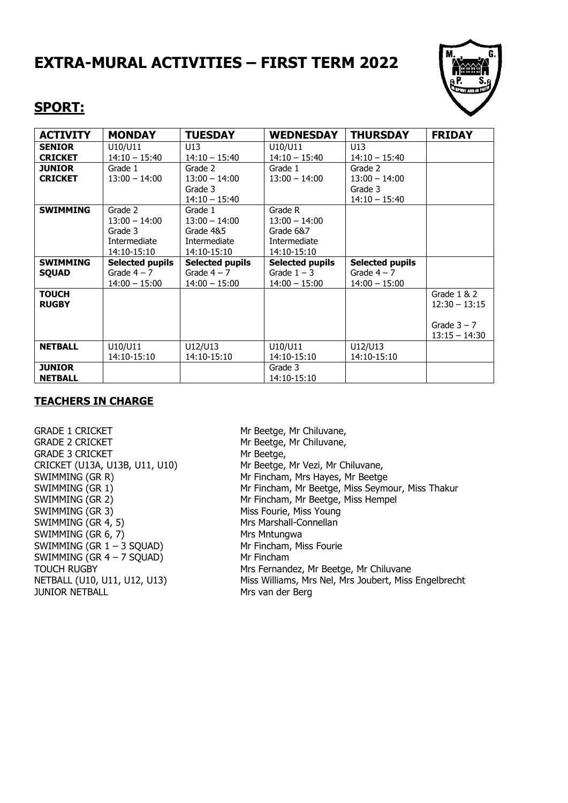## **EXTRA-MURAL ACTIVITIES – FIRST TERM 2022**



### **SPORT:**

| <b>ACTIVITY</b> | <b>MONDAY</b>          | <b>TUESDAY</b>         | <b>WEDNESDAY</b>       | <b>THURSDAY</b>        | <b>FRIDAY</b>   |
|-----------------|------------------------|------------------------|------------------------|------------------------|-----------------|
| <b>SENIOR</b>   | U10/U11                | U13                    | U10/U11                | U <sub>13</sub>        |                 |
| <b>CRICKET</b>  | $14:10 - 15:40$        | $14:10 - 15:40$        | $14:10 - 15:40$        | $14:10 - 15:40$        |                 |
| <b>JUNIOR</b>   | Grade 1                | Grade 2                | Grade 1                | Grade 2                |                 |
| <b>CRICKET</b>  | $13:00 - 14:00$        | $13:00 - 14:00$        | $13:00 - 14:00$        | $13:00 - 14:00$        |                 |
|                 |                        | Grade 3                |                        | Grade 3                |                 |
|                 |                        | $14:10 - 15:40$        |                        | $14:10 - 15:40$        |                 |
| <b>SWIMMING</b> | Grade 2                | Grade 1                | Grade R                |                        |                 |
|                 | $13:00 - 14:00$        | $13:00 - 14:00$        | $13:00 - 14:00$        |                        |                 |
|                 | Grade 3                | Grade 4&5              | Grade 6&7              |                        |                 |
|                 | Intermediate           | Intermediate           | Intermediate           |                        |                 |
|                 | 14:10-15:10            | 14:10-15:10            | 14:10-15:10            |                        |                 |
| <b>SWIMMING</b> | <b>Selected pupils</b> | <b>Selected pupils</b> | <b>Selected pupils</b> | <b>Selected pupils</b> |                 |
| <b>SOUAD</b>    | Grade $4 - 7$          | Grade $4 - 7$          | Grade $1 - 3$          | Grade $4 - 7$          |                 |
|                 | $14:00 - 15:00$        | $14:00 - 15:00$        | $14:00 - 15:00$        | $14:00 - 15:00$        |                 |
| <b>TOUCH</b>    |                        |                        |                        |                        | Grade $1 & 2$   |
| <b>RUGBY</b>    |                        |                        |                        |                        | $12:30 - 13:15$ |
|                 |                        |                        |                        |                        |                 |
|                 |                        |                        |                        |                        | Grade $3 - 7$   |
|                 |                        |                        |                        |                        | $13:15 - 14:30$ |
| <b>NETBALL</b>  | U10/U11                | U12/U13                | U10/U11                | U12/U13                |                 |
|                 | 14:10-15:10            | 14:10-15:10            | 14:10-15:10            | 14:10-15:10            |                 |
| <b>JUNIOR</b>   |                        |                        | Grade 3                |                        |                 |
| <b>NETBALL</b>  |                        |                        | 14:10-15:10            |                        |                 |

#### **TEACHERS IN CHARGE**

GRADE 1 CRICKET Mr Beetge, Mr Chiluvane, GRADE 2 CRICKET Mr Beetge, Mr Chiluvane, GRADE 3 CRICKET Mr Beetge, SWIMMING (GR 3) Miss Fourie, Miss Young SWIMMING (GR 4, 5) Mrs Marshall-Connellan SWIMMING (GR 6, 7) Mrs Mntungwa SWIMMING  $(GR 1 - 3 SQUAD)$  Mr Fincham, Miss Fourie SWIMMING  $(GR 4 - 7 SQUAD)$  Mr Fincham JUNIOR NETBALL Mrs van der Berg

CRICKET (U13A, U13B, U11, U10) Mr Beetge, Mr Vezi, Mr Chiluvane, SWIMMING (GR R) Mr Fincham, Mrs Hayes, Mr Beetge SWIMMING (GR 1) Mr Fincham, Mr Beetge, Miss Seymour, Miss Thakur SWIMMING (GR 2) Mr Fincham, Mr Beetge, Miss Hempel TOUCH RUGBY **Mrs Fernandez, Mr Beetge, Mr Chiluvane** NETBALL (U10, U11, U12, U13) Miss Williams, Mrs Nel, Mrs Joubert, Miss Engelbrecht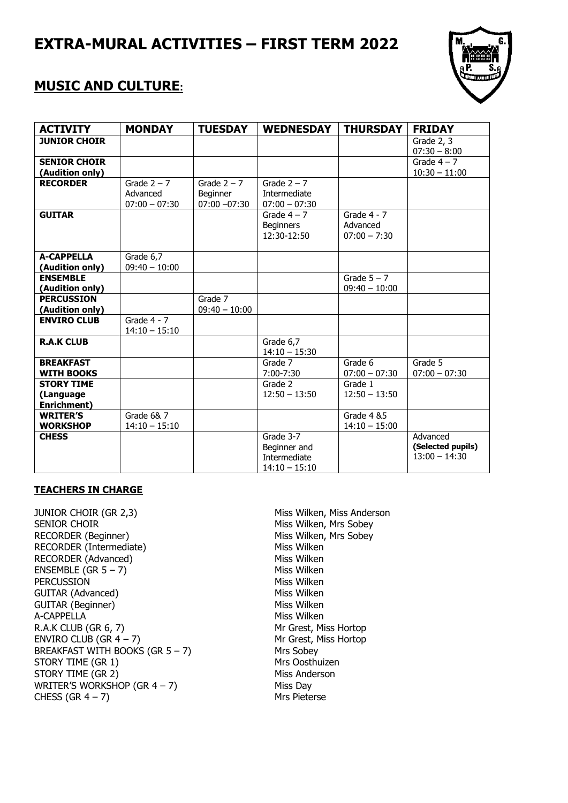## **EXTRA-MURAL ACTIVITIES – FIRST TERM 2022**



### **MUSIC AND CULTURE:**

| <b>ACTIVITY</b>                               | <b>MONDAY</b>                                | <b>TUESDAY</b>                               | <b>WEDNESDAY</b>                                             | <b>THURSDAY</b>                             | <b>FRIDAY</b>                                    |
|-----------------------------------------------|----------------------------------------------|----------------------------------------------|--------------------------------------------------------------|---------------------------------------------|--------------------------------------------------|
| <b>JUNIOR CHOIR</b>                           |                                              |                                              |                                                              |                                             | Grade 2, 3<br>$07:30 - 8:00$                     |
| <b>SENIOR CHOIR</b><br>(Audition only)        |                                              |                                              |                                                              |                                             | Grade $4 - 7$<br>$10:30 - 11:00$                 |
| <b>RECORDER</b>                               | Grade $2 - 7$<br>Advanced<br>$07:00 - 07:30$ | Grade $2 - 7$<br>Beginner<br>$07:00 - 07:30$ | Grade $2 - 7$<br>Intermediate<br>$07:00 - 07:30$             |                                             |                                                  |
| <b>GUITAR</b>                                 |                                              |                                              | Grade $4 - 7$<br><b>Beginners</b><br>12:30-12:50             | Grade $4 - 7$<br>Advanced<br>$07:00 - 7:30$ |                                                  |
| <b>A-CAPPELLA</b><br>(Audition only)          | Grade 6,7<br>$09:40 - 10:00$                 |                                              |                                                              |                                             |                                                  |
| <b>ENSEMBLE</b><br>(Audition only)            |                                              |                                              |                                                              | Grade $5 - 7$<br>$09:40 - 10:00$            |                                                  |
| <b>PERCUSSION</b><br>(Audition only)          |                                              | Grade 7<br>$09:40 - 10:00$                   |                                                              |                                             |                                                  |
| <b>ENVIRO CLUB</b>                            | Grade $4 - 7$<br>$14:10 - 15:10$             |                                              |                                                              |                                             |                                                  |
| <b>R.A.K CLUB</b>                             |                                              |                                              | Grade 6,7<br>$14:10 - 15:30$                                 |                                             |                                                  |
| <b>BREAKFAST</b><br><b>WITH BOOKS</b>         |                                              |                                              | Grade 7<br>7:00-7:30                                         | Grade 6<br>$07:00 - 07:30$                  | Grade 5<br>$07:00 - 07:30$                       |
| <b>STORY TIME</b><br>(Language<br>Enrichment) |                                              |                                              | Grade 2<br>$12:50 - 13:50$                                   | Grade 1<br>$12:50 - 13:50$                  |                                                  |
| <b>WRITER'S</b><br><b>WORKSHOP</b>            | Grade 6& 7<br>$14:10 - 15:10$                |                                              |                                                              | Grade 4 & 5<br>$14:10 - 15:00$              |                                                  |
| <b>CHESS</b>                                  |                                              |                                              | Grade 3-7<br>Beginner and<br>Intermediate<br>$14:10 - 15:10$ |                                             | Advanced<br>(Selected pupils)<br>$13:00 - 14:30$ |

#### **TEACHERS IN CHARGE**

JUNIOR CHOIR (GR 2,3) Miss Wilken, Miss Anderson SENIOR CHOIR **SENIOR** CHOIR **Miss Wilken**, Mrs Sobey RECORDER (Beginner) Miss Wilken, Mrs Sobey RECORDER (Intermediate) Miss Wilken<br>RECORDER (Advanced) Miss Wilken RECORDER (Advanced)  $ENSEMBLE (GR 5 – 7)$  Miss Wilken PERCUSSION Miss Wilken GUITAR (Advanced) and the matter of the Miss Wilken GUITAR (Beginner) Miss Wilken A-CAPPELLA Miss Wilken R.A.K CLUB (GR 6, 7) Mr Grest, Miss Hortop  $ENVIRO CLUB (GR 4 – 7)$  Mr Grest, Miss Hortop BREAKFAST WITH BOOKS  $(GR 5 - 7)$  Mrs Sobey<br>STORY TIME  $(GR 1)$ STORY TIME (GR 1) Mrs Oosthuizer<br>STORY TIME (GR 2) Miss Anderson STORY TIME (GR 2) WRITER'S WORKSHOP  $(GR 4 - 7)$  Miss Day  $CHESS (GR 4 – 7)$  Mrs Pieterse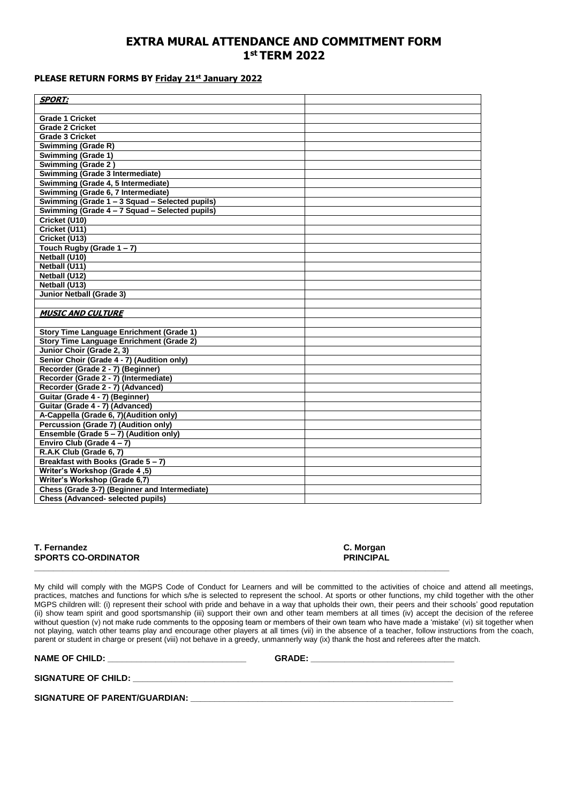#### **EXTRA MURAL ATTENDANCE AND COMMITMENT FORM 1 st TERM 2022**

#### **PLEASE RETURN FORMS BY Friday 21st January 2022**

| <b>SPORT:</b>                                   |  |
|-------------------------------------------------|--|
|                                                 |  |
| <b>Grade 1 Cricket</b>                          |  |
| <b>Grade 2 Cricket</b>                          |  |
| <b>Grade 3 Cricket</b>                          |  |
| Swimming (Grade R)                              |  |
| <b>Swimming (Grade 1)</b>                       |  |
| Swimming (Grade 2)                              |  |
| Swimming (Grade 3 Intermediate)                 |  |
| Swimming (Grade 4, 5 Intermediate)              |  |
| Swimming (Grade 6, 7 Intermediate)              |  |
| Swimming (Grade 1 - 3 Squad - Selected pupils)  |  |
| Swimming (Grade 4 - 7 Squad - Selected pupils)  |  |
| Cricket (U10)                                   |  |
| Cricket (U11)                                   |  |
| Cricket (U13)                                   |  |
| Touch Rugby (Grade 1 - 7)                       |  |
| Netball (U10)                                   |  |
| Netball (U11)                                   |  |
| Netball (U12)                                   |  |
| Netball (U13)                                   |  |
| <b>Junior Netball (Grade 3)</b>                 |  |
|                                                 |  |
| <b>MUSIC AND CULTURE</b>                        |  |
|                                                 |  |
| <b>Story Time Language Enrichment (Grade 1)</b> |  |
| <b>Story Time Language Enrichment (Grade 2)</b> |  |
| Junior Choir (Grade 2, 3)                       |  |
| Senior Choir (Grade 4 - 7) (Audition only)      |  |
| Recorder (Grade 2 - 7) (Beginner)               |  |
| Recorder (Grade 2 - 7) (Intermediate)           |  |
| Recorder (Grade 2 - 7) (Advanced)               |  |
| Guitar (Grade 4 - 7) (Beginner)                 |  |
| Guitar (Grade 4 - 7) (Advanced)                 |  |
| A-Cappella (Grade 6, 7)(Audition only)          |  |
| Percussion (Grade 7) (Audition only)            |  |
| Ensemble (Grade 5 - 7) (Audition only)          |  |
| Enviro Club (Grade 4-7)                         |  |
| R.A.K Club (Grade 6, 7)                         |  |
| Breakfast with Books (Grade 5 - 7)              |  |
| Writer's Workshop (Grade 4,5)                   |  |
| Writer's Workshop (Grade 6,7)                   |  |
| Chess (Grade 3-7) (Beginner and Intermediate)   |  |
|                                                 |  |
| <b>Chess (Advanced- selected pupils)</b>        |  |

| T. Fernandez |                            |  |
|--------------|----------------------------|--|
|              | <b>SPORTS CO-ORDINATOR</b> |  |

My child will comply with the MGPS Code of Conduct for Learners and will be committed to the activities of choice and attend all meetings, practices, matches and functions for which s/he is selected to represent the school. At sports or other functions, my child together with the other MGPS children will: (i) represent their school with pride and behave in a way that upholds their own, their peers and their schools' good reputation (ii) show team spirit and good sportsmanship (iii) support their own and other team members at all times (iv) accept the decision of the referee without question (v) not make rude comments to the opposing team or members of their own team who have made a 'mistake' (vi) sit together when without question (v) not make rude comments to the opposing team or members of not playing, watch other teams play and encourage other players at all times (vii) in the absence of a teacher, follow instructions from the coach, parent or student in charge or present (viii) not behave in a greedy, unmannerly way (ix) thank the host and referees after the match.

**\_\_\_\_\_\_\_\_\_\_\_\_\_\_\_\_\_\_\_\_\_\_\_\_\_\_\_\_\_\_\_\_\_\_\_\_\_\_\_\_\_\_\_\_\_\_\_\_\_\_\_\_\_\_\_\_\_\_\_\_\_\_\_\_\_\_\_\_\_\_\_\_\_\_\_\_\_\_\_\_\_\_\_\_\_\_\_**

**NAME OF CHILD: \_\_\_\_\_\_\_\_\_\_\_\_\_\_\_\_\_\_\_\_\_\_\_\_\_\_\_\_\_ GRADE: \_\_\_\_\_\_\_\_\_\_\_\_\_\_\_\_\_\_\_\_\_\_\_\_\_\_\_\_\_\_**

**SIGNATURE OF CHILD: \_\_\_\_\_\_\_\_\_\_\_\_\_\_\_\_\_\_\_\_\_\_\_\_\_\_\_\_\_\_\_\_\_\_\_\_\_\_\_\_\_\_\_\_\_\_\_\_\_\_\_\_\_\_\_\_\_\_\_\_\_\_\_\_\_\_\_**

SIGNATURE OF PARENT/GUARDIAN: **\_\_\_\_\_\_\_\_\_\_\_\_\_\_** 

**C. Morgan PRINCIPAL**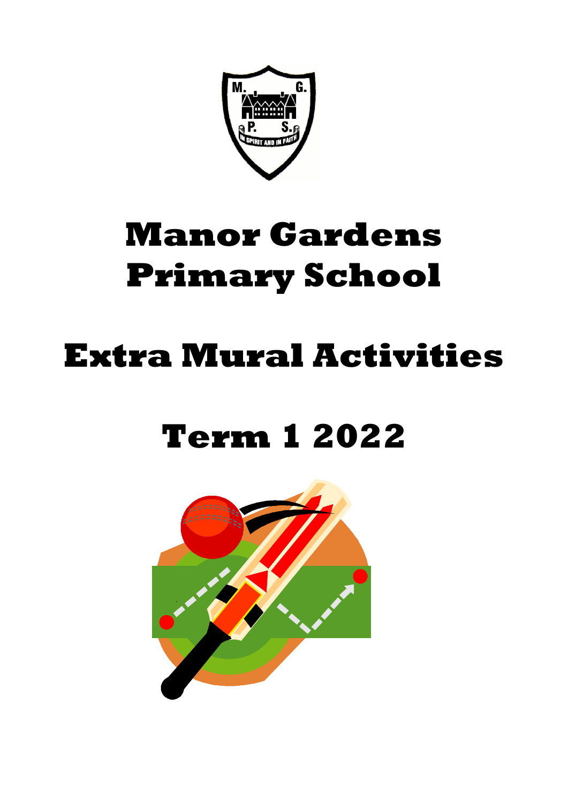

# **Manor Gardens Primary School**

## **Extra Mural Activities**

## **Term 1 2022**